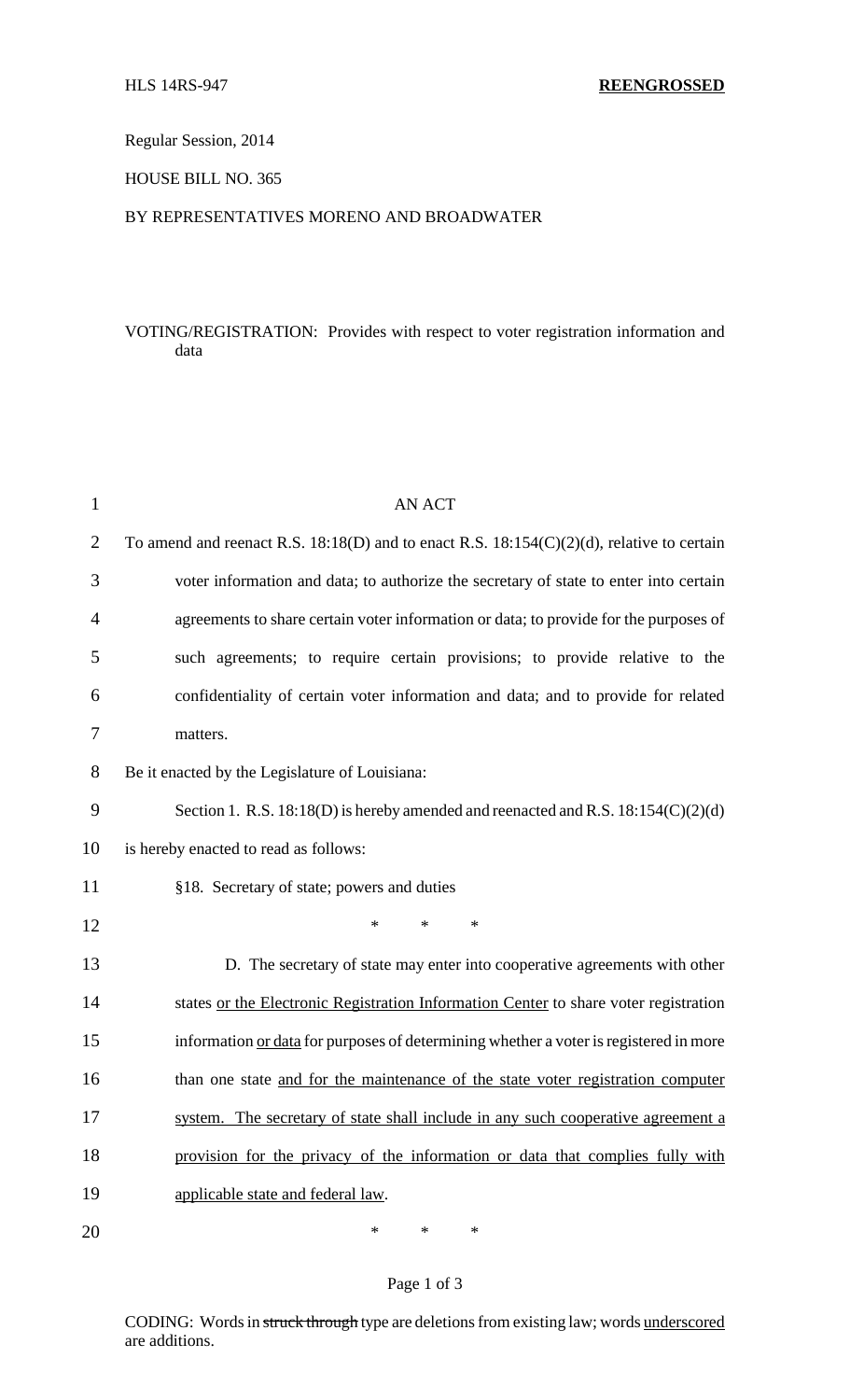Regular Session, 2014

HOUSE BILL NO. 365

### BY REPRESENTATIVES MORENO AND BROADWATER

# VOTING/REGISTRATION: Provides with respect to voter registration information and data

| $\mathbf{1}$   | <b>AN ACT</b>                                                                                  |
|----------------|------------------------------------------------------------------------------------------------|
| $\overline{2}$ | To amend and reenact R.S. $18:18(D)$ and to enact R.S. $18:154(C)(2)(d)$ , relative to certain |
| 3              | voter information and data; to authorize the secretary of state to enter into certain          |
| 4              | agreements to share certain voter information or data; to provide for the purposes of          |
| 5              | such agreements; to require certain provisions; to provide relative to the                     |
| 6              | confidentiality of certain voter information and data; and to provide for related              |
| 7              | matters.                                                                                       |
| 8              | Be it enacted by the Legislature of Louisiana:                                                 |
| 9              | Section 1. R.S. $18:18(D)$ is hereby amended and reenacted and R.S. $18:154(C)(2)(d)$          |
| 10             | is hereby enacted to read as follows:                                                          |
| 11             | §18. Secretary of state; powers and duties                                                     |
| 12             | $\ast$<br>$\ast$<br>$*$                                                                        |
| 13             | D. The secretary of state may enter into cooperative agreements with other                     |
| 14             | states or the Electronic Registration Information Center to share voter registration           |
| 15             | information or data for purposes of determining whether a voter is registered in more          |
| 16             | than one state and for the maintenance of the state voter registration computer                |
| 17             | system. The secretary of state shall include in any such cooperative agreement a               |
| 18             | provision for the privacy of the information or data that complies fully with                  |
| 19             | applicable state and federal law.                                                              |
| 20             | *<br>$\ast$<br>*                                                                               |

### Page 1 of 3

CODING: Words in struck through type are deletions from existing law; words underscored are additions.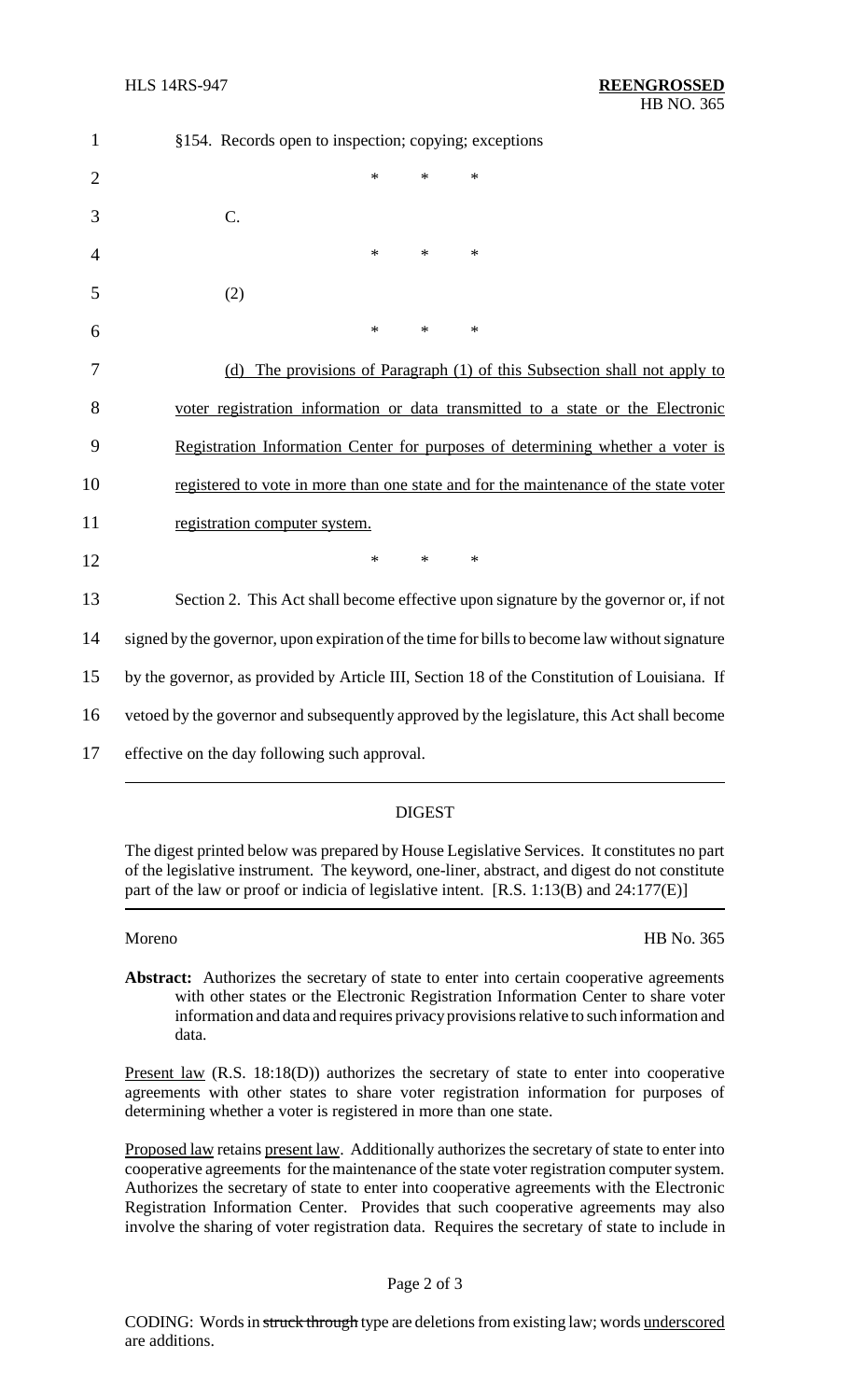| $\mathbf{1}$   | §154. Records open to inspection; copying; exceptions                                         |
|----------------|-----------------------------------------------------------------------------------------------|
| $\overline{2}$ | $\ast$<br>*<br>$\ast$                                                                         |
| 3              | C.                                                                                            |
| 4              | $\ast$<br>$\ast$<br>$\ast$                                                                    |
| 5              | (2)                                                                                           |
| 6              | $\ast$<br>$\ast$<br>$\ast$                                                                    |
| 7              | (d) The provisions of Paragraph (1) of this Subsection shall not apply to                     |
| 8              | voter registration information or data transmitted to a state or the Electronic               |
| 9              | Registration Information Center for purposes of determining whether a voter is                |
| 10             | registered to vote in more than one state and for the maintenance of the state voter          |
| 11             | registration computer system.                                                                 |
| 12             | $\ast$<br>$\ast$<br>$\ast$                                                                    |
| 13             | Section 2. This Act shall become effective upon signature by the governor or, if not          |
| 14             | signed by the governor, upon expiration of the time for bills to become law without signature |
| 15             | by the governor, as provided by Article III, Section 18 of the Constitution of Louisiana. If  |
| 16             | vetoed by the governor and subsequently approved by the legislature, this Act shall become    |
| 17             | effective on the day following such approval.                                                 |
|                |                                                                                               |

## DIGEST

The digest printed below was prepared by House Legislative Services. It constitutes no part of the legislative instrument. The keyword, one-liner, abstract, and digest do not constitute part of the law or proof or indicia of legislative intent. [R.S. 1:13(B) and 24:177(E)]

Moreno HB No. 365

Abstract: Authorizes the secretary of state to enter into certain cooperative agreements with other states or the Electronic Registration Information Center to share voter information and data and requires privacy provisions relative to such information and data.

Present law (R.S. 18:18(D)) authorizes the secretary of state to enter into cooperative agreements with other states to share voter registration information for purposes of determining whether a voter is registered in more than one state.

Proposed law retains present law. Additionally authorizes the secretary of state to enter into cooperative agreements for the maintenance of the state voter registration computer system. Authorizes the secretary of state to enter into cooperative agreements with the Electronic Registration Information Center. Provides that such cooperative agreements may also involve the sharing of voter registration data. Requires the secretary of state to include in